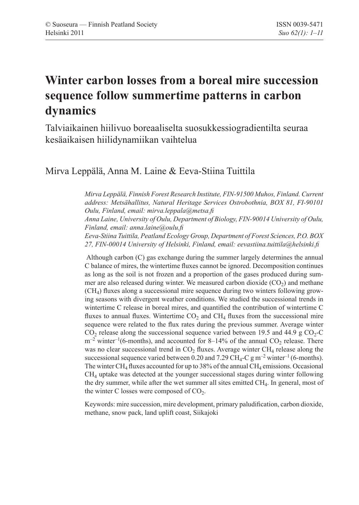# **Winter carbon losses from a boreal mire succession sequence follow summertime patterns in carbon dynamics**

Talviaikainen hiilivuo boreaaliselta suosukkessiogradientilta seuraa kesäaikaisen hiilidynamiikan vaihtelua

# Mirva Leppälä, Anna M. Laine & Eeva-Stiina Tuittila

*Mirva Leppälä, Finnish Forest Research Institute, FIN-91500 Muhos, Finland. Current address: Metsähallitus, Natural Heritage Services Ostrobothnia, BOX 81, FI-90101 Oulu, Finland, email: mirva.leppala@metsa.fi*

*Anna Laine, University of Oulu, Department of Biology, FIN-90014 University of Oulu, Finland, email: anna.laine@oulu.fi*

*Eeva-Stiina Tuittila, Peatland Ecology Group, Department of Forest Sciences, P.O. BOX 27, FIN-00014 University of Helsinki, Finland, email: eevastiina.tuittila@helsinki.fi*

 Although carbon (C) gas exchange during the summer largely determines the annual C balance of mires, the wintertime fluxes cannot be ignored. Decomposition continues as long as the soil is not frozen and a proportion of the gases produced during summer are also released during winter. We measured carbon dioxide  $(CO<sub>2</sub>)$  and methane  $(CH<sub>4</sub>)$  fluxes along a successional mire sequence during two winters following growing seasons with divergent weather conditions. We studied the successional trends in wintertime C release in boreal mires, and quantified the contribution of wintertime C fluxes to annual fluxes. Wintertime  $CO<sub>2</sub>$  and  $CH<sub>4</sub>$  fluxes from the successional mire sequence were related to the flux rates during the previous summer. Average winter  $CO_2$  release along the successional sequence varied between 19.5 and 44.9 g  $CO_2$ -C  $m^{-2}$  winter<sup>-1</sup>(6-months), and accounted for 8–14% of the annual  $CO_2$  release. There was no clear successional trend in  $CO<sub>2</sub>$  fluxes. Average winter  $CH<sub>4</sub>$  release along the successional sequence varied between 0.20 and 7.29 CH<sub>4</sub>-C g m<sup>-2</sup> winter<sup>-1</sup> (6-months). The winter  $CH_4$  fluxes accounted for up to 38% of the annual  $CH_4$  emissions. Occasional CH4 uptake was detected at the younger successional stages during winter following the dry summer, while after the wet summer all sites emitted CH4. In general, most of the winter C losses were composed of  $CO<sub>2</sub>$ .

Keywords: mire succession, mire development, primary paludification, carbon dioxide, methane, snow pack, land uplift coast, Siikajoki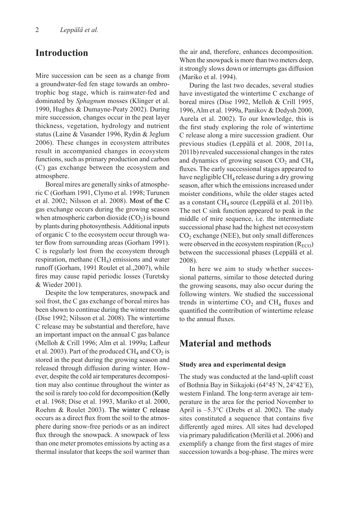# **Introduction**

Mire succession can be seen as a change from a groundwater-fed fen stage towards an ombrotrophic bog stage, which is rainwater-fed and dominated by *Sphagnum* mosses (Klinger et al. 1990, Hughes & Dumayne-Peaty 2002). During mire succession, changes occur in the peat layer thickness, vegetation, hydrology and nutrient status (Laine & Vasander 1996, Rydin & Jeglum 2006). These changes in ecosystem attributes result in accompanied changes in ecosystem functions, such as primary production and carbon (C) gas exchange between the ecosystem and atmosphere.

Boreal mires are generally sinks of atmospheric C (Gorham 1991, Clymo et al. 1998; Turunen et al.  $2002$ ; Nilsson et al.  $2008$ ). Most of the C gas exchange occurs during the growing season when atmospheric carbon dioxide  $(CO_2)$  is bound by plants during photosynthesis. Additional inputs of organic C to the ecosystem occur through water flow from surrounding areas (Gorham 1991). C is regularly lost from the ecosystem through respiration, methane  $(CH<sub>4</sub>)$  emissions and water runoff (Gorham, 1991 Roulet et al.,2007), while fires may cause rapid periodic losses (Turetsky & Wieder 2001).

Despite the low temperatures, snowpack and soil frost, the C gas exchange of boreal mires has been shown to continue during the winter months (Dise 1992; Nilsson et al. 2008). The wintertime C release may be substantial and therefore, have an important impact on the annual C gas balance (Melloh & Crill 1996; Alm et al. 1999a; Lafleur et al. 2003). Part of the produced  $CH_4$  and  $CO_2$  is stored in the peat during the growing season and released through diffusion during winter. However, despite the cold air temperatures decomposition may also continue throughout the winter as the soil is rarely too cold for decomposition (Kelly et al. 1968; Dise et al. 1993, Mariko et al. 2000, Roehm & Roulet 2003). The winter C release occurs as a direct flux from the soil to the atmosphere during snow-free periods or as an indirect flux through the snowpack. A snowpack of less than one meter promotes emissions by acting as a thermal insulator that keeps the soil warmer than the air and, therefore, enhances decomposition. When the snowpack is more than two meters deep, it strongly slows down or interrupts gas diffusion (Mariko et al. 1994).

During the last two decades, several studies have investigated the wintertime C exchange of boreal mires (Dise 1992, Melloh & Crill 1995, 1996, Alm et al. 1999a, Panikov & Dedysh 2000, Aurela et al. 2002). To our knowledge, this is the first study exploring the role of wintertime C release along a mire succession gradient. Our previous studies (Leppälä et al. 2008, 2011a, 2011b) revealed successional changes in the rates and dynamics of growing season  $CO<sub>2</sub>$  and  $CH<sub>4</sub>$ fluxes. The early successional stages appeared to have negligible  $CH_4$  release during a dry growing season, after which the emissions increased under moister conditions, while the older stages acted as a constant  $CH_4$  source (Leppälä et al. 2011b). The net C sink function appeared to peak in the middle of mire sequence, i.e. the intermediate successional phase had the highest net ecosystem  $CO<sub>2</sub>$  exchange (NEE), but only small differences were observed in the ecosystem respiration  $(R_{ECO})$ between the successional phases (Leppälä et al. 2008).

In here we aim to study whether successional patterns, similar to those detected during the growing seasons, may also occur during the following winters. We studied the successional trends in wintertime  $CO<sub>2</sub>$  and  $CH<sub>4</sub>$  fluxes and quantified the contribution of wintertime release to the annual fluxes.

# **Material and methods**

#### **Study area and experimental design**

The study was conducted at the land-uplift coast of Bothnia Bay in Siikajoki (64°45´N, 24°42´E), western Finland. The long-term average air temperature in the area for the period November to April is –5.3°C (Drebs et al. 2002). The study sites constituted a sequence that contains five differently aged mires. All sites had developed via primary paludification (Merilä et al. 2006) and exemplify a change from the first stages of mire succession towards a bog-phase. The mires were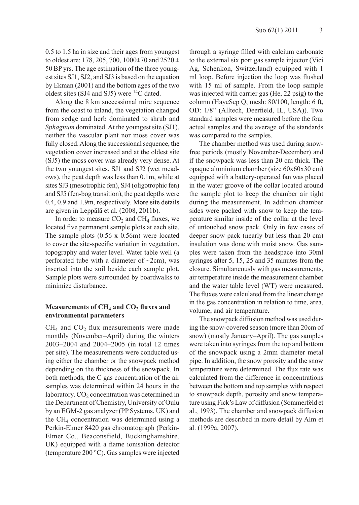0.5 to 1.5 ha in size and their ages from youngest to oldest are: 178, 205, 700, 1000 $\pm$ 70 and 2520  $\pm$ 50 BP yrs. The age estimation of the three youngest sites SJ1, SJ2, and SJ3 is based on the equation by Ekman (2001) and the bottom ages of the two oldest sites (SJ4 and SJ5) were 14C dated.

Along the 8 km successional mire sequence from the coast to inland, the vegetation changed from sedge and herb dominated to shrub and *Sphagnum* dominated. At the youngest site (SJ1), neither the vascular plant nor moss cover was fully closed. Along the successional sequence, the vegetation cover increased and at the oldest site (SJ5) the moss cover was already very dense. At the two youngest sites, SJ1 and SJ2 (wet meadows), the peat depth was less than 0.1m, while at sites SJ3 (mesotrophic fen), SJ4 (oligotrophic fen) and SJ5 (fen-bog transition), the peat depths were  $0.4$ ,  $0.9$  and  $1.9$ m, respectively. More site details are given in Leppälä et al. (2008, 2011b).

In order to measure  $CO<sub>2</sub>$  and  $CH<sub>4</sub>$  fluxes, we located five permanent sample plots at each site. The sample plots (0.56 x 0.56m) were located to cover the site-specific variation in vegetation, topography and water level. Water table well (a perforated tube with a diameter of  $\sim$ 2cm), was inserted into the soil beside each sample plot. Sample plots were surrounded by boardwalks to minimize disturbance.

#### **Measurements of CH<sub>4</sub> and CO<sub>2</sub> fluxes and environmental parameters**

 $CH<sub>4</sub>$  and  $CO<sub>2</sub>$  flux measurements were made monthly (November–April) during the winters 2003–2004 and 2004–2005 (in total 12 times per site). The measurements were conducted using either the chamber or the snowpack method depending on the thickness of the snowpack. In both methods, the C gas concentration of the air samples was determined within 24 hours in the laboratory.  $CO<sub>2</sub>$  concentration was determined in the Department of Chemistry, University of Oulu by an EGM-2 gas analyzer (PP Systems, UK) and the  $CH<sub>4</sub>$  concentration was determined using a Perkin-Elmer 8420 gas chromatograph (Perkin-Elmer Co., Beaconsfield, Buckinghamshire, UK) equipped with a flame ionisation detector (temperature 200 °C). Gas samples were injected

through a syringe filled with calcium carbonate to the external six port gas sample injector (Vici Ag, Schenkon, Switzerland) equipped with 1 ml loop. Before injection the loop was flushed with 15 ml of sample. From the loop sample was injected with carrier gas (He, 22 psig) to the column (HayeSep Q, mesh: 80/100, length: 6 ft, OD: 1/8" (Alltech, Deerfield, IL, USA)). Two standard samples were measured before the four actual samples and the average of the standards was compared to the samples.

The chamber method was used during snowfree periods (mostly November-December) and if the snowpack was less than 20 cm thick. The opaque aluminium chamber (size 60x60x30 cm) equipped with a battery-operated fan was placed in the water groove of the collar located around the sample plot to keep the chamber air tight during the measurement. In addition chamber sides were packed with snow to keep the temperature similar inside of the collar at the level of untouched snow pack. Only in few cases of deeper snow pack (nearly but less than 20 cm) insulation was done with moist snow. Gas samples were taken from the headspace into 30ml syringes after 5, 15, 25 and 35 minutes from the closure. Simultaneously with gas measurements, air temperature inside the measurement chamber and the water table level (WT) were measured. The fluxes were calculated from the linear change in the gas concentration in relation to time, area, volume, and air temperature.

The snowpack diffusion method was used during the snow-covered season (more than 20cm of snow) (mostly January–April). The gas samples were taken into syringes from the top and bottom of the snowpack using a 2mm diameter metal pipe. In addition, the snow porosity and the snow temperature were determined. The flux rate was calculated from the difference in concentrations between the bottom and top samples with respect to snowpack depth, porosity and snow temperature using Fick's Law of diffusion (Sommerfeld et al., 1993). The chamber and snowpack diffusion methods are described in more detail by Alm et al. (1999a, 2007).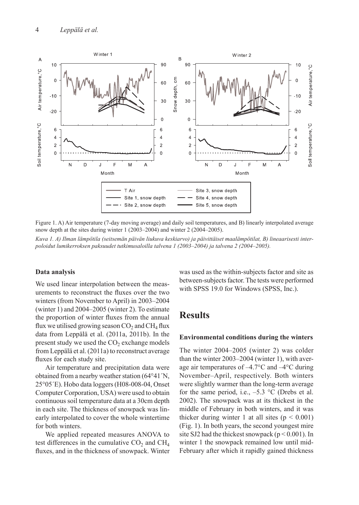

Figure 1. A) Air temperature (7-day moving average) and daily soil temperatures, and B) linearly interpolated average snow depth at the sites during winter 1 (2003–2004) and winter 2 (2004–2005).

*Kuva 1. A) Ilman lämpötila (seitsemän päivän liukuva keskiarvo) ja päivittäiset maalämpötilat, B) lineaarisesti interpoloidut lumikerroksen paksuudet tutkimusaloilla talvena 1 (2003–2004) ja talvena 2 (2004–2005).* 

#### **Data analysis**

We used linear interpolation between the measurements to reconstruct the fluxes over the two winters (from November to April) in 2003–2004 (winter 1) and 2004–2005 (winter 2). To estimate the proportion of winter fluxes from the annual flux we utilised growing season  $CO<sub>2</sub>$  and  $CH<sub>4</sub>$  flux data from Leppälä et al. (2011a, 2011b). In the present study we used the  $CO<sub>2</sub>$  exchange models from Leppälä et al. (2011a) to reconstruct average fluxes for each study site.

Air temperature and precipitation data were obtained from a nearby weather station (64°41´N, 25°05´E). Hobo data loggers (H08-008-04, Onset Computer Corporation, USA) were used to obtain continuous soil temperature data at a 30cm depth in each site. The thickness of snowpack was linearly interpolated to cover the whole wintertime for both winters.

We applied repeated measures ANOVA to test differences in the cumulative  $CO<sub>2</sub>$  and  $CH<sub>4</sub>$ fluxes, and in the thickness of snowpack. Winter was used as the within-subjects factor and site as between-subjects factor. The tests were performed with SPSS 19.0 for Windows (SPSS, Inc.).

# **Results**

#### **Environmental conditions during the winters**

The winter 2004–2005 (winter 2) was colder than the winter 2003–2004 (winter 1), with average air temperatures of –4.7°C and –4°C during November–April, respectively. Both winters were slightly warmer than the long-term average for the same period, i.e.,  $-5.3$  °C (Drebs et al. 2002). The snowpack was at its thickest in the middle of February in both winters, and it was thicker during winter 1 at all sites  $(p < 0.001)$ (Fig. 1). In both years, the second youngest mire site SJ2 had the thickest snowpack ( $p < 0.001$ ). In winter 1 the snowpack remained low until mid-February after which it rapidly gained thickness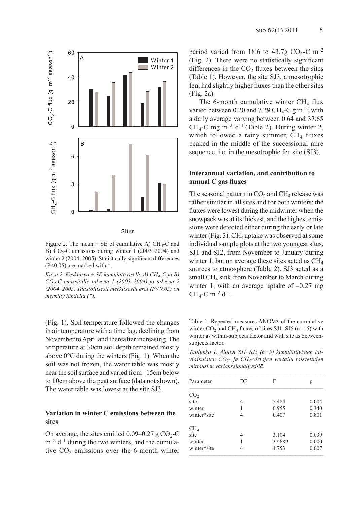

**Sites** 

Figure 2. The mean  $\pm$  SE of cumulative A) CH<sub>4</sub>-C and B)  $CO<sub>2</sub>-C$  emissions during winter 1 (2003–2004) and winter 2 (2004–2005). Statistically significant differences  $(P<0.05)$  are marked with  $*$ .

*Kuva 2. Keskiarvo ± SE kumulatiiviselle A) CH4-C ja B) CO2-C emissioille talvena 1 (2003–2004) ja talvena 2 (2004–2005. Tilastollisesti merkitsevät erot (P<0.05) on merkitty tähdellä (\*).* 

(Fig. 1). Soil temperature followed the changes in air temperature with a time lag, declining from November to April and thereafter increasing. The temperature at 30cm soil depth remained mostly above 0°C during the winters (Fig. 1). When the soil was not frozen, the water table was mostly near the soil surface and varied from –15cm below to 10cm above the peat surface (data not shown). The water table was lowest at the site SJ3.

### **Variation in winter C emissions between the sites**

On average, the sites emitted  $0.09-0.27$  g CO<sub>2</sub>-C  $m^{-2}$  d<sup>-1</sup> during the two winters, and the cumulative  $CO<sub>2</sub>$  emissions over the 6-month winter period varied from 18.6 to 43.7g  $CO_2$ -C m<sup>-2</sup> (Fig. 2). There were no statistically significant differences in the  $CO<sub>2</sub>$  fluxes between the sites (Table 1). However, the site SJ3, a mesotrophic fen, had slightly higher fluxes than the other sites (Fig. 2a).

The 6-month cumulative winter  $CH<sub>4</sub>$  flux varied between 0.20 and 7.29 CH<sub>4</sub>-C g m<sup>-2</sup>, with a daily average varying between 0.64 and 37.65 CH<sub>4</sub>-C mg m<sup>-2</sup> d<sup>-1</sup> (Table 2). During winter 2, which followed a rainy summer,  $CH<sub>4</sub>$  fluxes peaked in the middle of the successional mire sequence, i.e. in the mesotrophic fen site (SJ3).

### **Interannual variation, and contribution to annual C gas fluxes**

The seasonal pattern in  $CO<sub>2</sub>$  and  $CH<sub>4</sub>$  release was rather similar in all sites and for both winters: the fluxes were lowest during the midwinter when the snowpack was at its thickest, and the highest emissions were detected either during the early or late winter (Fig. 3).  $CH_4$  uptake was observed at some individual sample plots at the two youngest sites, SJ1 and SJ2, from November to January during winter 1, but on average these sites acted as  $CH<sub>4</sub>$ sources to atmosphere (Table 2). SJ3 acted as a small  $CH<sub>4</sub>$  sink from November to March during winter 1, with an average uptake of  $-0.27$  mg  $CH_4$ -C m<sup>-2</sup> d<sup>-1</sup>.

Table 1. Repeated measures ANOVA of the cumulative winter  $CO_2$  and  $CH_4$  fluxes of sites SJ1–SJ5 (n = 5) with winter as within-subjects factor and with site as betweensubjects factor.

*Taulukko 1. Alojen SJ1–SJ5 (n=5) kumulatiivisten talviaikaisten CO2- ja CH4-virtojen vertailu toistettujen mittausten varianssianalyysillä.* 

|   | F      | p     |  |
|---|--------|-------|--|
|   |        |       |  |
| 4 | 5.484  | 0.004 |  |
|   | 0.955  | 0.340 |  |
| 4 | 0.407  | 0.801 |  |
|   |        |       |  |
| 4 | 3.104  | 0.039 |  |
|   | 37.689 | 0.000 |  |
|   | 4.753  | 0.007 |  |
|   |        |       |  |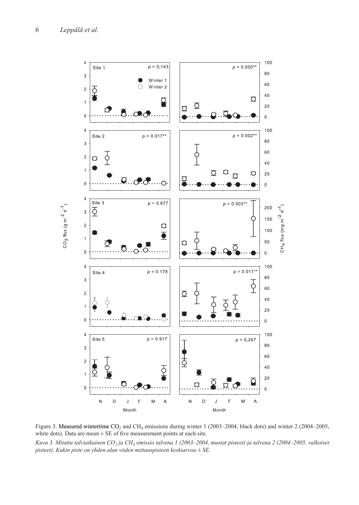

Figure 3. Measured wintertime CO<sub>2</sub> and CH<sub>4</sub> emissions during winter 1 (2003–2004, black dots) and winter 2 (2004–2005, white dots). Data are mean  $\pm$  SE of five measurement points at each site.

*Kuva 3. Mitattu talviaikainen CO2 ja CH4 emissio talvena 1 (2003–2004, mustat pisteet) ja talvena 2 (2004–2005, valkoiset pisteet). Kukin piste on yhden alan viiden mittauspisteen keskiarvoa ± SE.*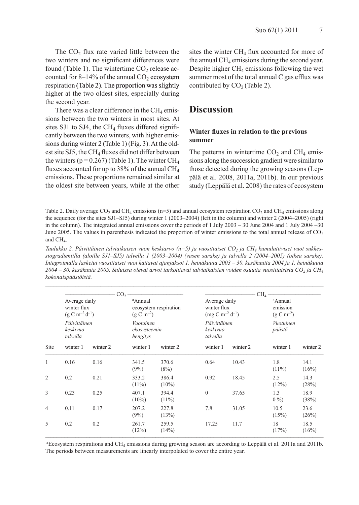The  $CO<sub>2</sub>$  flux rate varied little between the two winters and no significant differences were found (Table 1). The wintertime  $CO<sub>2</sub>$  release accounted for 8–14% of the annual  $CO<sub>2</sub>$  ecosystem respiration (Table 2). The proportion was slightly higher at the two oldest sites, especially during the second year.

There was a clear difference in the  $CH<sub>4</sub>$  emissions between the two winters in most sites. At sites SJ1 to SJ4, the  $CH<sub>4</sub>$  fluxes differed significantly between the two winters, with higher emissions during winter 2 (Table 1) (Fig. 3). At the oldest site SJ5, the CH<sub>4</sub> fluxes did not differ between the winters ( $p = 0.267$ ) (Table 1). The winter CH<sub>4</sub> fluxes accounted for up to 38% of the annual  $CH<sub>4</sub>$ emissions. These proportions remained similar at the oldest site between years, while at the other

sites the winter  $CH<sub>4</sub>$  flux accounted for more of the annual  $CH<sub>4</sub>$  emissions during the second year. Despite higher  $CH_4$  emissions following the wet summer most of the total annual C gas efflux was contributed by  $CO<sub>2</sub>$  (Table 2).

### **Discussion**

### **Winter fluxes in relation to the previous summer**

The patterns in wintertime  $CO<sub>2</sub>$  and  $CH<sub>4</sub>$  emissions along the succession gradient were similar to those detected during the growing seasons (Leppälä et al. 2008, 2011a, 2011b). In our previous study (Leppälä et al. 2008) the rates of ecosystem

Table 2. Daily average  $CO_2$  and  $CH_4$  emissions (n=5) and annual ecosystem respiration  $CO_2$  and  $CH_4$  emissions along the sequence (for the sites SJ1–SJ5) during winter 1 (2003–2004) (left in the column) and winter 2 (2004–2005) (right in the column). The integrated annual emissions cover the periods of 1 July 2003 – 30 June 2004 and 1 July 2004 –30 June 2005. The values in parenthesis indicated the proportion of winter emissions to the total annual release of  $CO<sub>2</sub>$ and CH<sub>4</sub>.

Taulukko 2. Päivittäinen talviaikaisen vuon keskiarvo (n=5) ja vuosittaiset CO<sub>2</sub> ja CH<sub>4</sub> kumulatiiviset vuot sukkes*siogradientilla (aloille SJ1–SJ5) talvella 1 (2003–2004) (vasen sarake) ja talvella 2 (2004–2005) (oikea sarake). Integroimalla lasketut vuosittaiset vuot kattavat ajanjaksot 1. heinäkuuta 2003 – 30. kesäkuutta 2004 ja 1. heinäkuuta 2004 – 30. kesäkuuta 2005. Suluissa olevat arvot tarkoittavat talviaikaisten voiden osuutta vuosittaisista CO2 ja CH4 kokonaispäästöistä.*

|                |                                                       | CO <sub>2</sub> |                                       |                           |                                                                      |                                      | CH <sub>4</sub>                       |                     |  |
|----------------|-------------------------------------------------------|-----------------|---------------------------------------|---------------------------|----------------------------------------------------------------------|--------------------------------------|---------------------------------------|---------------------|--|
|                | Average daily<br>winter flux<br>$(g C m^{-2} d^{-1})$ |                 | <sup>a</sup> Annual<br>$(g C m^{-2})$ | ecosystem respiration     | Average daily<br>winter flux<br>$\text{(mg C m}^{-2} \text{d}^{-1})$ |                                      | aAnnual<br>emission<br>$(g C m^{-2})$ |                     |  |
|                | Päivittäinen<br>keskivuo<br>talvella                  |                 | hengitys                              | Vuotuinen<br>ekosysteemin |                                                                      | Päivittäinen<br>keskivuo<br>talvella |                                       | Vuotuinen<br>päästö |  |
| Site           | winter 1                                              | winter 2        | winter 1                              | winter 2                  | winter 1                                                             | winter 2                             | winter 1                              | winter 2            |  |
| $\mathbf{1}$   | 0.16                                                  | 0.16            | 341.5<br>(9%)                         | 370.6<br>(8%)             | 0.64                                                                 | 10.43                                | 1.8<br>$(11\%)$                       | 14.1<br>(16%)       |  |
| $\overline{2}$ | 0.2                                                   | 0.21            | 333.2<br>$(11\%)$                     | 386.4<br>$(10\%)$         | 0.92                                                                 | 18.45                                | 2.5<br>(12%)                          | 14.3<br>(28%)       |  |
| 3              | 0.23                                                  | 0.25            | 407.1<br>$(10\%)$                     | 394.4<br>$(11\%)$         | $\theta$                                                             | 37.65                                | 1.3<br>$0\%$                          | 18.9<br>(38%)       |  |
| 4              | 0.11                                                  | 0.17            | 207.2<br>(9%)                         | 227.8<br>(13%)            | 7.8                                                                  | 31.05                                | 10.5<br>(15%)                         | 23.6<br>(26%)       |  |
| 5              | 0.2                                                   | 0.2             | 261.7<br>(12%)                        | 259.5<br>(14%)            | 17.25                                                                | 11.7                                 | 18<br>(17%)                           | 18.5<br>(16%)       |  |

 $aE$ cosystem respirations and CH<sub>4</sub> emissions during growing season are according to Leppälä et al. 2011a and 2011b. The periods between measurements are linearly interpolated to cover the entire year.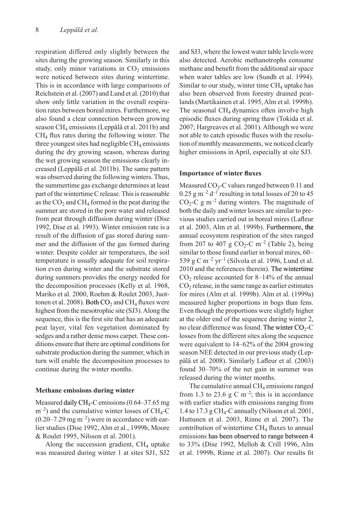respiration differed only slightly between the sites during the growing season. Similarly in this study, only minor variations in  $CO<sub>2</sub>$  emissions were noticed between sites during wintertime. This is in accordance with large comparisons of Reichstein et al. (2007) and Lund et al. (2010) that show only little variation in the overall respiration rates between boreal mires. Furthermore, we also found a clear connection between growing season CH4 emissions (Leppälä et al. 2011b) and CH4 flux rates during the following winter. The three youngest sites had negligible  $CH_4$  emissions during the dry growing season, whereas during the wet growing season the emissions clearly increased (Leppälä et al. 2011b). The same pattern was observed during the following winters. Thus, the summertime gas exchange determines at least part of the wintertime C release. This is reasonable as the  $CO<sub>2</sub>$  and CH<sub>4</sub> formed in the peat during the summer are stored in the pore water and released from peat through diffusion during winter (Dise 1992, Dise et al. 1993). Winter emission rate is a result of the diffusion of gas stored during summer and the diffusion of the gas formed during winter. Despite colder air temperatures, the soil temperature is usually adequate for soil respiration even during winter and the substrate stored during summers provides the energy needed for the decomposition processes (Kelly et al. 1968, Mariko et al. 2000, Roehm & Roulet 2003, Juottonen et al. 2008). Both  $CO_2$  and  $CH_4$  fluxes were highest from the mesotrophic site (SJ3). Along the sequence, this is the first site that has an adequate peat layer, vital fen vegetation dominated by sedges and a rather dense moss carpet. These conditions ensure that there are optimal conditions for substrate production during the summer, which in turn will enable the decomposition processes to continue during the winter months.

#### **Methane emissions during winter**

Measured daily  $CH_4$ -C emissions (0.64–37.65 mg)  $m^{-2}$ ) and the cumulative winter losses of CH<sub>4</sub>-C  $(0.20-7.29 \text{ mg m}^{-2})$  were in accordance with earlier studies (Dise 1992, Alm et al., 1999b, Moore & Roulet 1995, Nilsson et al. 2001).

Along the succession gradient,  $CH<sub>4</sub>$  uptake was measured during winter 1 at sites SJ1, SJ2

and SJ3, where the lowest water table levels were also detected. Aerobic methanotrophs consume methane and benefit from the additional air space when water tables are low (Sundh et al. 1994). Similar to our study, winter time  $CH<sub>4</sub>$  uptake has also been observed from forestry drained peatlands (Martikainen et al. 1995, Alm et al. 1999b). The seasonal  $CH<sub>4</sub>$  dynamics often involve high episodic fluxes during spring thaw (Tokida et al. 2007; Hargreaves et al. 2001). Although we were not able to catch episodic fluxes with the resolution of monthly measurements, we noticed clearly higher emissions in April, especially at site SJ3.

#### **Importance of winter fluxes**

Measured  $CO<sub>2</sub>$ -C values ranged between 0.11 and  $0.25$  g m<sup>-2</sup> d<sup>-1</sup> resulting in total losses of 20 to 45  $CO<sub>2</sub>-C$  g m<sup>-2</sup> during winters. The magnitude of both the daily and winter losses are similar to previous studies carried out in boreal mires (Lafleur et al. 2003, Alm et al. 1999b). Furthermore, the annual ecosystem respiration of the sites ranged from 207 to 407 g  $CO<sub>2</sub>-C$  m<sup>-2</sup> (Table 2), being similar to those found earlier in boreal mires, 60– 539 g C m<sup>-2</sup> yr<sup>-1</sup> (Silvola et al. 1996, Lund et al.  $2010$  and the references therein). The wintertime  $CO<sub>2</sub>$  release accounted for 8–14% of the annual  $CO<sub>2</sub>$  release, in the same range as earlier estimates for mires (Alm et al. 1999b). Alm et al. (1999a) measured higher proportions in bogs than fens. Even though the proportions were slightly higher at the older end of the sequence during winter 2, no clear difference was found. The winter  $CO<sub>2</sub>-C$ losses from the different sites along the sequence were equivalent to 14–62% of the 2004 growing season NEE detected in our previous study (Leppälä et al. 2008). Similarly Lafleur et al. (2003) found 30–70% of the net gain in summer was released during the winter months.

The cumulative annual  $CH<sub>4</sub>$  emissions ranged from 1.3 to 23.6 g C m<sup>-2</sup>; this is in accordance with earlier studies with emissions ranging from 1.4 to 17.3 g CH<sub>4</sub>-C annually (Nilsson et al. 2001, Huttunen et al. 2003, Rinne et al. 2007). The contribution of wintertime  $CH<sub>4</sub>$  fluxes to annual emissions has been observed to range between 4 to 33% (Dise 1992, Melloh & Crill 1996, Alm et al. 1999b, Rinne et al. 2007). Our results fit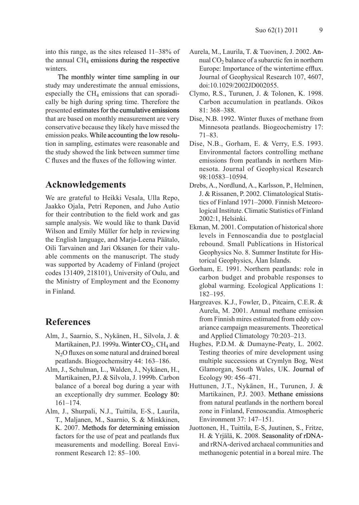into this range, as the sites released 11–38% of the annual  $CH<sub>4</sub>$  emissions during the respective winters.

The monthly winter time sampling in our study may underestimate the annual emissions, especially the  $CH<sub>4</sub>$  emissions that can sporadically be high during spring time. Therefore the presented estimates for the cumulative emissions that are based on monthly measurement are very conservative because they likely have missed the emission peaks. While accounting the low resolution in sampling, estimates were reasonable and the study showed the link between summer time C fluxes and the fluxes of the following winter.

# **Acknowledgements**

We are grateful to Heikki Vesala, Ulla Repo, Jaakko Ojala, Petri Reponen, and Juho Autio for their contribution to the field work and gas sample analysis. We would like to thank David Wilson and Emily Müller for help in reviewing the English language, and Marja-Leena Päätalo, Oili Tarvainen and Jari Oksanen for their valuable comments on the manuscript. The study was supported by Academy of Finland (project codes 131409, 218101), University of Oulu, and the Ministry of Employment and the Economy in Finland.

## **References**

- Alm, J., Saarnio, S., Nykänen, H., Silvola, J. & Martikainen, P.J. 1999a. Winter  $CO_2$ , CH<sub>4</sub> and N<sub>2</sub>O fluxes on some natural and drained boreal peatlands. Biogeochemsitry 44: 163–186.
- Alm, J., Schulman, L., Walden, J., Nykänen, H., Martikainen, P.J. & Silvola, J. 1999b. Carbon balance of a boreal bog during a year with an exceptionally dry summer. Ecology 80: 161–174.
- Alm, J., Shurpali, N.J., Tuittila, E-S., Laurila, T., Maljanen, M., Saarnio, S. & Minkkinen, K. 2007. Methods for determining emission factors for the use of peat and peatlands flux measurements and modelling. Boreal Environment Research 12: 85–100.
- Aurela, M., Laurila, T. & Tuovinen, J. 2002. Annual  $CO<sub>2</sub>$  balance of a subarctic fen in northern Europe: Importance of the wintertime efflux. Journal of Geophysical Research 107, 4607, doi:10.1029/2002JD002055.
- Clymo, R.S., Turunen, J. & Tolonen, K. 1998. Carbon accumulation in peatlands. Oikos 81: 368–388.
- Dise, N.B. 1992. Winter fluxes of methane from Minnesota peatlands. Biogeochemistry 17: 71–83.
- Dise, N.B., Gorham, E. & Verry, E.S. 1993. Environmental factors controlling methane emissions from peatlands in northern Minnesota. Journal of Geophysical Research 98:10583–10594.
- Drebs, A., Nordlund, A., Karlsson, P., Helminen, J. & Rissanen, P. 2002. Climatological Statistics of Finland 1971–2000. Finnish Meteorological Institute. Climatic Statistics of Finland 2002:1, Helsinki.
- Ekman, M. 2001. Computation of historical shore levels in Fennoscandia due to postglacial rebound. Small Publications in Historical Geophysics No. 8. Summer Institute for Historical Geophysics, Ålan Islands.
- Gorham, E. 1991. Northern peatlands: role in carbon budget and probable responses to global warming. Ecological Applications 1: 182–195.
- Hargreaves. K.J., Fowler, D., Pitcairn, C.E.R. & Aurela, M. 2001. Annual methane emission from Finnish mires estimated from eddy covariance campaign measurements. Theoretical and Applied Climatology 70:203–213.
- Hughes, P.D.M. & Dumayne-Peaty, L. 2002. Testing theories of mire development using multiple successions at Crymlyn Bog, West Glamorgan, South Wales, UK. Journal of Ecology 90: 456–471.
- Huttunen, J.T., Nykänen, H., Turunen, J. & Martikainen, P.J. 2003. Methane emissions from natural peatlands in the northern boreal zone in Finland, Fennoscandia. Atmospheric Environment 37: 147–151.
- Juottonen, H., Tuittila, E-S, Juutinen, S., Fritze, H. & Yrjälä, K. 2008. Seasonality of rDNAand rRNA-derived archaeal communities and methanogenic potential in a boreal mire. The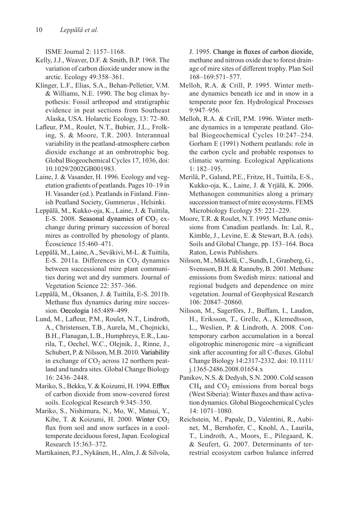ISME Journal 2: 1157–1168.

- Kelly, J.J., Weaver, D.F. & Smith, B.P. 1968. The variation of carbon dioxide under snow in the arctic. Ecology 49:358–361.
- Klinger, L.F., Elias, S.A., Behan-Pelletier, V.M. & Williams, N.E. 1990. The bog climax hypothesis: Fossil arthropod and stratigraphic evidence in peat sections from Southeast Alaska, USA. Holarctic Ecology, 13: 72–80.
- Lafleur, P.M., Roulet, N.T., Bubier, J.L., Frolking, S. & Moore, T.R. 2003. Interannual variability in the peatland-atmosphere carbon dioxide exchange at an ombrotrophic bog. Global Biogeochemical Cycles 17, 1036, doi: 10.1029/2002GB001983.
- Laine, J. & Vasander, H. 1996. Ecology and vegetation gradients of peatlands. Pages 10–19 in H. Vasander (ed.). Peatlands in Finland. Finnish Peatland Society, Gummerus , Helsinki.
- Leppälä, M., Kukko-oja, K., Laine, J. & Tuittila, E-S. 2008. Seasonal dynamics of  $CO<sub>2</sub>$  exchange during primary succession of boreal mires as controlled by phenology of plants. Écoscience 15:460–471.
- Leppälä, M., Laine, A., Seväkivi, M-L. & Tuittila, E-S. 2011a. Differences in  $CO<sub>2</sub>$  dynamics between successional mire plant communities during wet and dry summers. Journal of Vegetation Science 22: 357–366.
- Leppälä, M., Oksanen, J. & Tuittila, E-S. 2011b. Methane flux dynamics during mire succession. Oecologia 165:489–499.
- Lund, M., Lafleur, P.M., Roulet, N.T., Lindroth, A., Christensen, T.B., Aurela, M., Chojnicki, B.H., Flanagan, L.B., Humphreys, E.R., Laurila, T., Oechel, W.C., Olejnik, J., Rinne, J., Schubert, P. & Nilsson, M.B. 2010. Variability in exchange of  $CO<sub>2</sub>$  across 12 northern peatland and tundra sites. Global Change Biology 16: 2436–2448.
- Mariko, S., Bekku, Y. & Koizumi, H. 1994. Efflux of carbon dioxide from snow-covered forest soils. Ecological Research 9:345–350.
- Mariko, S., Nishimura, N., Mo, W., Matsui, Y., Kibe, T. & Koizumi, H. 2000. Winter  $CO<sub>2</sub>$ flux from soil and snow surfaces in a cooltemperate deciduous forest, Japan. Ecological Research 15:363–372.
- Martikainen, P.J., Nykänen, H., Alm, J. & Silvola,

J. 1995. Change in fluxes of carbon dioxide, methane and nitrous oxide due to forest drainage of mire sites of different trophy. Plan Soil 168–169:571–577.

- Melloh, R.A. & Crill, P. 1995. Winter methane dynamics beneath ice and in snow in a temperate poor fen. Hydrological Processes 9:947–956.
- Melloh, R.A. & Crill, P.M. 1996. Winter methane dynamics in a temperate peatland. Global Biogeochemical Cycles 10:247–254. Gorham E (1991) Nothern peatlands: role in the carbon cycle and probable responses to climatic warming. Ecological Applications 1: 182–195.
- Merilä, P., Galand, P.E., Fritze, H., Tuittila, E-S., Kukko-oja, K., Laine, J. & Yrjälä, K. 2006. Methanogen communities along a primary succession transect of mire ecosystems. FEMS Microbiology Ecology 55: 221–229.
- Moore, T.R. & Roulet, N.T. 1995. Methane emissions from Canadian peatlands. In: Lal, R., Kimble, J., Levine, E. & Stewart, B.A. (eds). Soils and Global Change, pp. 153–164. Boca Raton, Lewis Publishers.
- Nilsson, M., Mikkelä, C., Sundh, I., Granberg, G., Svensson, B.H. & Ranneby, B. 2001. Methane emissions from Swedish mires: national and regional budgets and dependence on mire vegetation. Journal of Geophysical Research 106: 20847–20860.
- Nilsson, M., Sagerförs, J., Buffam, I., Laudon, H., Eriksson, T., Grelle, A., Klemedtsson, L., Weslien, P. & Lindroth, A. 2008. Contemporary carbon accumulation in a boreal oligotrophic minerogenic mire –a significant sink after accounting for all C-fluxes. Global Change Biology 14:2317-2332. doi: 10.1111/ j.1365-2486.2008.01654.x
- Panikov, N.S. & Dedysh, S.N. 2000. Cold season  $CH<sub>4</sub>$  and  $CO<sub>2</sub>$  emissions from boreal bogs (West Siberia): Winter fluxes and thaw activation dynamics. Global Biogeochemical Cycles 14: 1071–1080.
- Reichstein, M., Papale, D., Valentini, R., Aubinet, M., Bernhofer, C., Knohl, A., Laurila, T., Lindroth, A., Moors, E., Pilegaard, K. & Seufert, G. 2007. Determinants of terrestrial ecosystem carbon balance inferred